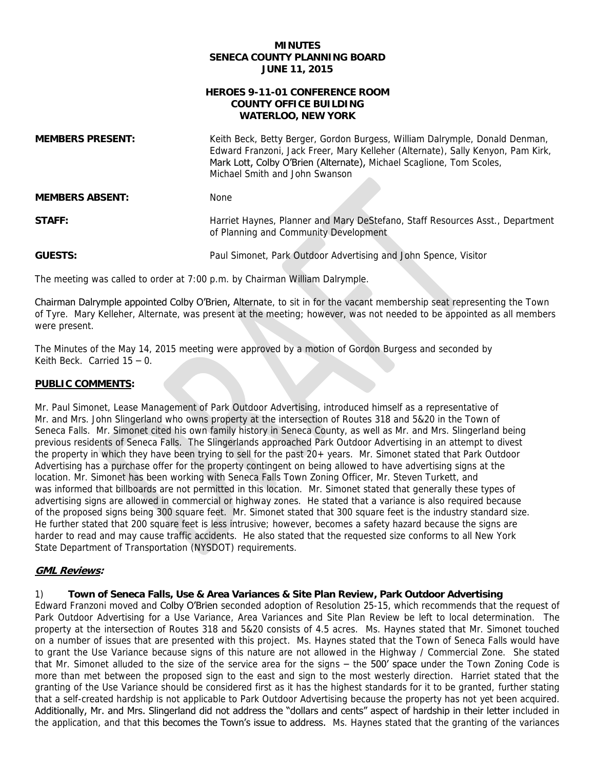## **MINUTES SENECA COUNTY PLANNING BOARD JUNE 11, 2015**

# **HEROES 9-11-01 CONFERENCE ROOM WATERLOO, NEW YORK COUNTY OFFICE BUILDING**

Mark Lott, Colby O'Brien (Alternate), Michael Scaglione, Tom Scoles,<br>Michael Smith and John Swanson Michael Smith and John Swanson **MEMBERS ABSENT:** None of Planning and Community Development **MEMBERS PRESENT:** Keith Beck, Betty Berger, Gordon Burgess, William Dalrymple, Donald Denman, Edward Franzoni, Jack Freer, Mary Kelleher (Alternate), Sally Kenyon, Pam Kirk, **STAFF:** Harriet Haynes, Planner and Mary DeStefano, Staff Resources Asst., Department

**GUESTS:** Paul Simonet, Park Outdoor Advertising and John Spence, Visitor

The meeting was called to order at 7:00 p.m. by Chairman William Dalrymple.

Chairman Dalrymple appointed Colby O'Brien, Alternate, to sit in for the vacant membership seat representing the Town of Tyre. Mary Kelleher, Alternate, was present at the meeting; however, was not needed to be appointed as all members were present.

 The Minutes of the May 14, 2015 meeting were approved by a motion of Gordon Burgess and seconded by Keith Beck. Carried 15 – 0.

# **PUBLIC COMMENTS:**

Mr. and Mrs. John Slingerland who owns property at the intersection of Routes 318 and 5&20 in the Town of previous residents of Seneca Falls. The Slingerlands approached Park Outdoor Advertising in an attempt to divest Advertising has a purchase offer for the property contingent on being allowed to have advertising signs at the was informed that billboards are not permitted in this location. Mr. Simonet stated that generally these types of advertising signs are allowed in commercial or highway zones. He stated that a variance is also required because He further stated that 200 square feet is less intrusive; however, becomes a safety hazard because the signs are Mr. Paul Simonet, Lease Management of Park Outdoor Advertising, introduced himself as a representative of Seneca Falls. Mr. Simonet cited his own family history in Seneca County, as well as Mr. and Mrs. Slingerland being the property in which they have been trying to sell for the past 20+ years. Mr. Simonet stated that Park Outdoor location. Mr. Simonet has been working with Seneca Falls Town Zoning Officer, Mr. Steven Turkett, and of the proposed signs being 300 square feet. Mr. Simonet stated that 300 square feet is the industry standard size. He further stated that 200 square feet is less intrusive; however, becomes a safety hazard because the signs are<br>harder to read and may cause traffic accidents. He also stated that the requested size conforms to all New Yo

# **GML Reviews:**

## 1) **Town of Seneca Falls, Use & Area Variances & Site Plan Review, Park Outdoor Advertising**

 Park Outdoor Advertising for a Use Variance, Area Variances and Site Plan Review be left to local determination. The property at the intersection of Routes 318 and 5&20 consists of 4.5 acres. Ms. Haynes stated that Mr. Simonet touched on a number of issues that are presented with this project. Ms. Haynes stated that the Town of Seneca Falls would have to grant the Use Variance because signs of this nature are not allowed in the Highway / Commercial Zone. She stated that Mr. Simonet alluded to the size of the service area for the signs – the 500' space under the Town Zoning Code is more than met between the proposed sign to the east and sign to the most westerly direction. Harriet stated that the granting of the Use Variance should be considered first as it has the highest standards for it to be granted, further stating that a self-created hardship is not applicable to Park Outdoor Advertising because the property has not yet been acquired. Additionally, Mr. and Mrs. Slingerland did not address the "dollars and cents" aspect of hardship in their letter included in the application, and that this becomes the Town's issue to address. Ms. Haynes stated that the granting of the variances Edward Franzoni moved and Colby O'Brien seconded adoption of Resolution 25-15, which recommends that the request of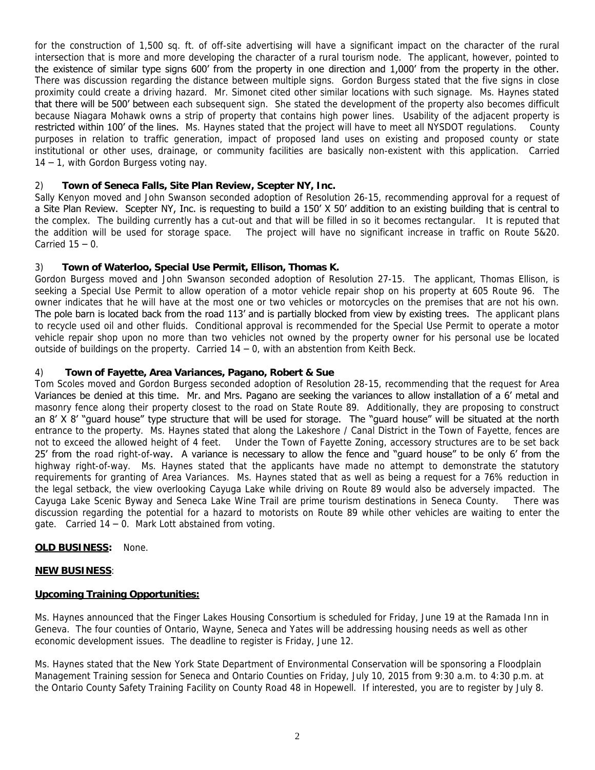for the construction of 1,500 sq. ft. of off-site advertising will have a significant impact on the character of the rural intersection that is more and more developing the character of a rural tourism node. The applicant, however, pointed to the existence of similar type signs 600' from the property in one direction and 1,000' from the property in the other. There was discussion regarding the distance between multiple signs. Gordon Burgess stated that the five signs in close proximity could create a driving hazard. Mr. Simonet cited other similar locations with such signage. Ms. Haynes stated that there will be 500' between each subsequent sign. She stated the development of the property also becomes difficult because Niagara Mohawk owns a strip of property that contains high power lines. Usability of the adjacent property is restricted within 100' of the lines. Ms. Haynes stated that the project will have to meet all NYSDOT regulations. County purposes in relation to traffic generation, impact of proposed land uses on existing and proposed county or state institutional or other uses, drainage, or community facilities are basically non-existent with this application. Carried 14 – 1, with Gordon Burgess voting nay.

#### $(2)$ 2) **Town of Seneca Falls, Site Plan Review, Scepter NY, Inc.**

 Sally Kenyon moved and John Swanson seconded adoption of Resolution 26-15, recommending approval for a request of a Site Plan Review. Scepter NY, Inc. is requesting to build a 150' X 50' addition to an existing building that is central to the complex. The building currently has a cut-out and that will be filled in so it becomes rectangular. It is reputed that the addition will be used for storage space. Carried  $15 - 0$ . The project will have no significant increase in traffic on Route 5&20.

# 3) **Town of Waterloo, Special Use Permit, Ellison, Thomas K.**

 Gordon Burgess moved and John Swanson seconded adoption of Resolution 27-15. The applicant, Thomas Ellison, is seeking a Special Use Permit to allow operation of a motor vehicle repair shop on his property at 605 Route 96. The owner indicates that he will have at the most one or two vehicles or motorcycles on the premises that are not his own. The pole barn is located back from the road 113' and is partially blocked from view by existing trees. The applicant plans to recycle used oil and other fluids. Conditional approval is recommended for the Special Use Permit to operate a motor vehicle repair shop upon no more than two vehicles not owned by the property owner for his personal use be located outside of buildings on the property. Carried 14 – 0, with an abstention from Keith Beck.

# 4) **Town of Fayette, Area Variances, Pagano, Robert & Sue**

 Tom Scoles moved and Gordon Burgess seconded adoption of Resolution 28-15, recommending that the request for Area Variances be denied at this time. Mr. and Mrs. Pagano are seeking the variances to allow installation of a 6' metal and masonry fence along their property closest to the road on State Route 89. Additionally, they are proposing to construct an 8' X 8' "guard house" type structure that will be used for storage. The "guard house" will be situated at the north entrance to the property. Ms. Haynes stated that along the Lakeshore / Canal District in the Town of Fayette, fences are not to exceed the allowed height of 4 feet. 25' from the road right-of-way. A variance is necessary to allow the fence and "guard house" to be only 6' from the highway right-of-way. Ms. Haynes stated that the applicants have made no attempt to demonstrate the statutory requirements for granting of Area Variances. Ms. Haynes stated that as well as being a request for a 76% reduction in the legal setback, the view overlooking Cayuga Lake while driving on Route 89 would also be adversely impacted. The Cayuga Lake Scenic Byway and Seneca Lake Wine Trail are prime tourism destinations in Seneca County. There was discussion regarding the potential for a hazard to motorists on Route 89 while other vehicles are waiting to enter the gate. Carried 14 – 0. Mark Lott abstained from voting. Under the Town of Fayette Zoning, accessory structures are to be set back

## **OLD BUSINESS:** None.

## **NEW BUSINESS**:

## **Upcoming Training Opportunities:**

 Geneva. The four counties of Ontario, Wayne, Seneca and Yates will be addressing housing needs as well as other Ms. Haynes announced that the Finger Lakes Housing Consortium is scheduled for Friday, June 19 at the Ramada Inn in economic development issues. The deadline to register is Friday, June 12.

Ms. Haynes stated that the New York State Department of Environmental Conservation will be sponsoring a Floodplain Management Training session for Seneca and Ontario Counties on Friday, July 10, 2015 from 9:30 a.m. to 4:30 p.m. at the Ontario County Safety Training Facility on County Road 48 in Hopewell. If interested, you are to register by July 8.